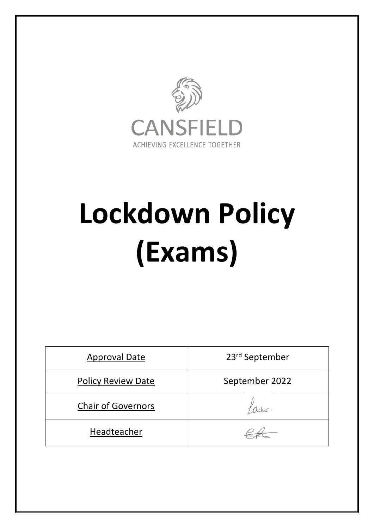

# **Lockdown Policy (Exams)**

| <b>Approval Date</b>      | 23rd September |
|---------------------------|----------------|
| <b>Policy Review Date</b> | September 2022 |
| <b>Chair of Governors</b> |                |
| Headteacher               |                |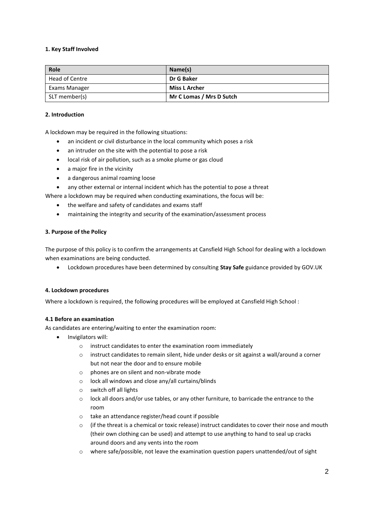## **1. Key Staff Involved**

| Role           | Name(s)                  |
|----------------|--------------------------|
| Head of Centre | Dr G Baker               |
| Exams Manager  | <b>Miss L Archer</b>     |
| SLT member(s)  | Mr C Lomas / Mrs D Sutch |

## **2. Introduction**

A lockdown may be required in the following situations:

- an incident or civil disturbance in the local community which poses a risk
- an intruder on the site with the potential to pose a risk
- local risk of air pollution, such as a smoke plume or gas cloud
- a major fire in the vicinity
- a dangerous animal roaming loose

any other external or internal incident which has the potential to pose a threat

Where a lockdown may be required when conducting examinations, the focus will be:

- the welfare and safety of candidates and exams staff
- maintaining the integrity and security of the examination/assessment process

## **3. Purpose of the Policy**

The purpose of this policy is to confirm the arrangements at Cansfield High School for dealing with a lockdown when examinations are being conducted.

Lockdown procedures have been determined by consulting **Stay Safe** guidance provided by GOV.UK

#### **4. Lockdown procedures**

Where a lockdown is required, the following procedures will be employed at Cansfield High School :

#### **4.1 Before an examination**

As candidates are entering/waiting to enter the examination room:

- Invigilators will:
	- o instruct candidates to enter the examination room immediately
	- o instruct candidates to remain silent, hide under desks or sit against a wall/around a corner but not near the door and to ensure mobile
	- o phones are on silent and non-vibrate mode
	- o lock all windows and close any/all curtains/blinds
	- o switch off all lights
	- $\circ$  lock all doors and/or use tables, or any other furniture, to barricade the entrance to the room
	- o take an attendance register/head count if possible
	- $\circ$  (if the threat is a chemical or toxic release) instruct candidates to cover their nose and mouth (their own clothing can be used) and attempt to use anything to hand to seal up cracks around doors and any vents into the room
	- o where safe/possible, not leave the examination question papers unattended/out of sight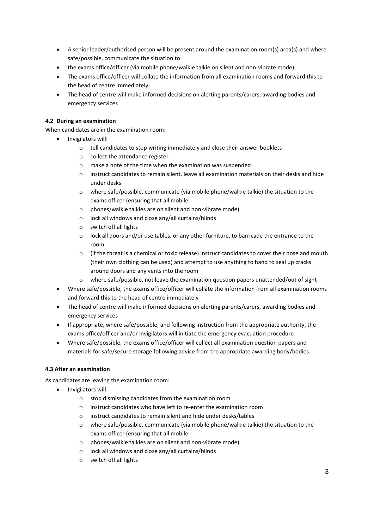- A senior leader/authorised person will be present around the examination room(s) area(s) and where safe/possible, communicate the situation to
- the exams office/officer (via mobile phone/walkie talkie on silent and non-vibrate mode)
- The exams office/officer will collate the information from all examination rooms and forward this to the head of centre immediately
- The head of centre will make informed decisions on alerting parents/carers, awarding bodies and emergency services

# **4.2 During an examination**

When candidates are in the examination room:

- Invigilators will:
	- o tell candidates to stop writing immediately and close their answer booklets
	- o collect the attendance register
	- o make a note of the time when the examination was suspended
	- $\circ$  instruct candidates to remain silent, leave all examination materials on their desks and hide under desks
	- o where safe/possible, communicate (via mobile phone/walkie talkie) the situation to the exams officer (ensuring that all mobile
	- o phones/walkie talkies are on silent and non-vibrate mode)
	- o lock all windows and close any/all curtains/blinds
	- o switch off all lights
	- o lock all doors and/or use tables, or any other furniture, to barricade the entrance to the room
	- $\circ$  (if the threat is a chemical or toxic release) instruct candidates to cover their nose and mouth (their own clothing can be used) and attempt to use anything to hand to seal up cracks around doors and any vents into the room
	- where safe/possible, not leave the examination question papers unattended/out of sight
- Where safe/possible, the exams office/officer will collate the information from all examination rooms and forward this to the head of centre immediately
- The head of centre will make informed decisions on alerting parents/carers, awarding bodies and emergency services
- If appropriate, where safe/possible, and following instruction from the appropriate authority, the exams office/officer and/or invigilators will initiate the emergency evacuation procedure
- Where safe/possible, the exams office/officer will collect all examination question papers and materials for safe/secure storage following advice from the appropriate awarding body/bodies

#### **4.3 After an examination**

As candidates are leaving the examination room:

- Invigilators will:
	- o stop dismissing candidates from the examination room
	- $\circ$  instruct candidates who have left to re-enter the examination room
	- o instruct candidates to remain silent and hide under desks/tables
	- o where safe/possible, communicate (via mobile phone/walkie talkie) the situation to the exams officer (ensuring that all mobile
	- o phones/walkie talkies are on silent and non-vibrate mode)
	- o lock all windows and close any/all curtains/blinds
	- o switch off all lights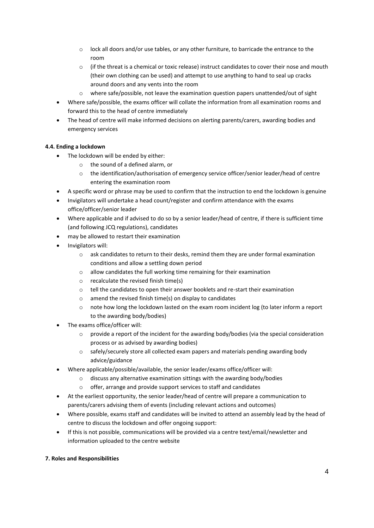- o lock all doors and/or use tables, or any other furniture, to barricade the entrance to the room
- $\circ$  (if the threat is a chemical or toxic release) instruct candidates to cover their nose and mouth (their own clothing can be used) and attempt to use anything to hand to seal up cracks around doors and any vents into the room
- o where safe/possible, not leave the examination question papers unattended/out of sight
- Where safe/possible, the exams officer will collate the information from all examination rooms and forward this to the head of centre immediately
- The head of centre will make informed decisions on alerting parents/carers, awarding bodies and emergency services

# **4.4. Ending a lockdown**

- The lockdown will be ended by either:
	- o the sound of a defined alarm, or
	- o the identification/authorisation of emergency service officer/senior leader/head of centre entering the examination room
- A specific word or phrase may be used to confirm that the instruction to end the lockdown is genuine
- Invigilators will undertake a head count/register and confirm attendance with the exams office/officer/senior leader
- Where applicable and if advised to do so by a senior leader/head of centre, if there is sufficient time (and following JCQ regulations), candidates
- may be allowed to restart their examination
- Invigilators will:
	- o ask candidates to return to their desks, remind them they are under formal examination conditions and allow a settling down period
	- o allow candidates the full working time remaining for their examination
	- o recalculate the revised finish time(s)
	- o tell the candidates to open their answer booklets and re-start their examination
	- o amend the revised finish time(s) on display to candidates
	- o note how long the lockdown lasted on the exam room incident log (to later inform a report to the awarding body/bodies)
- The exams office/officer will:
	- $\circ$  provide a report of the incident for the awarding body/bodies (via the special consideration process or as advised by awarding bodies)
	- o safely/securely store all collected exam papers and materials pending awarding body advice/guidance
- Where applicable/possible/available, the senior leader/exams office/officer will:
	- $\circ$  discuss any alternative examination sittings with the awarding body/bodies
	- o offer, arrange and provide support services to staff and candidates
- At the earliest opportunity, the senior leader/head of centre will prepare a communication to parents/carers advising them of events (including relevant actions and outcomes)
- Where possible, exams staff and candidates will be invited to attend an assembly lead by the head of centre to discuss the lockdown and offer ongoing support:
- If this is not possible, communications will be provided via a centre text/email/newsletter and information uploaded to the centre website

# **7. Roles and Responsibilities**